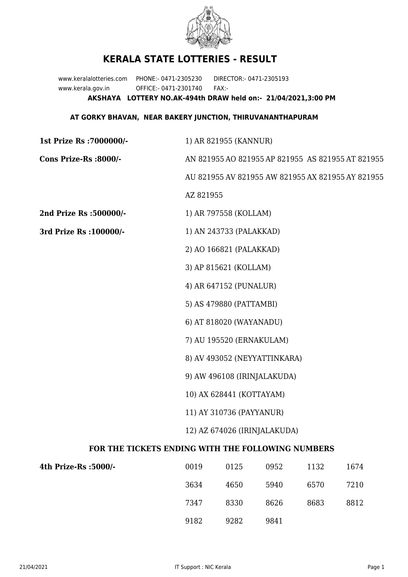

## **KERALA STATE LOTTERIES - RESULT**

www.keralalotteries.com PHONE:- 0471-2305230 DIRECTOR:- 0471-2305193 www.kerala.gov.in OFFICE:- 0471-2301740 FAX:- **AKSHAYA LOTTERY NO.AK-494th DRAW held on:- 21/04/2021,3:00 PM**

## **AT GORKY BHAVAN, NEAR BAKERY JUNCTION, THIRUVANANTHAPURAM**

| 1st Prize Rs : 7000000/-                          | 1) AR 821955 (KANNUR)                             |                       |      |      |      |  |
|---------------------------------------------------|---------------------------------------------------|-----------------------|------|------|------|--|
| Cons Prize-Rs :8000/-                             | AN 821955 AO 821955 AP 821955 AS 821955 AT 821955 |                       |      |      |      |  |
|                                                   | AU 821955 AV 821955 AW 821955 AX 821955 AY 821955 |                       |      |      |      |  |
|                                                   | AZ 821955                                         |                       |      |      |      |  |
| 2nd Prize Rs :500000/-                            |                                                   | 1) AR 797558 (KOLLAM) |      |      |      |  |
| 3rd Prize Rs : 100000/-                           | 1) AN 243733 (PALAKKAD)                           |                       |      |      |      |  |
|                                                   | 2) AO 166821 (PALAKKAD)                           |                       |      |      |      |  |
|                                                   | 3) AP 815621 (KOLLAM)                             |                       |      |      |      |  |
|                                                   | 4) AR 647152 (PUNALUR)                            |                       |      |      |      |  |
|                                                   | 5) AS 479880 (PATTAMBI)                           |                       |      |      |      |  |
|                                                   | 6) AT 818020 (WAYANADU)                           |                       |      |      |      |  |
|                                                   | 7) AU 195520 (ERNAKULAM)                          |                       |      |      |      |  |
|                                                   | 8) AV 493052 (NEYYATTINKARA)                      |                       |      |      |      |  |
|                                                   | 9) AW 496108 (IRINJALAKUDA)                       |                       |      |      |      |  |
|                                                   | 10) AX 628441 (KOTTAYAM)                          |                       |      |      |      |  |
|                                                   | 11) AY 310736 (PAYYANUR)                          |                       |      |      |      |  |
|                                                   | 12) AZ 674026 (IRINJALAKUDA)                      |                       |      |      |      |  |
| FOR THE TICKETS ENDING WITH THE FOLLOWING NUMBERS |                                                   |                       |      |      |      |  |
| 4th Prize-Rs :5000/-                              | 0019                                              | 0125                  | 0952 | 1132 | 1674 |  |
|                                                   | 3634                                              | 4650                  | 5940 | 6570 | 7210 |  |

9182 9282 9841

7347 8330 8626 8683 8812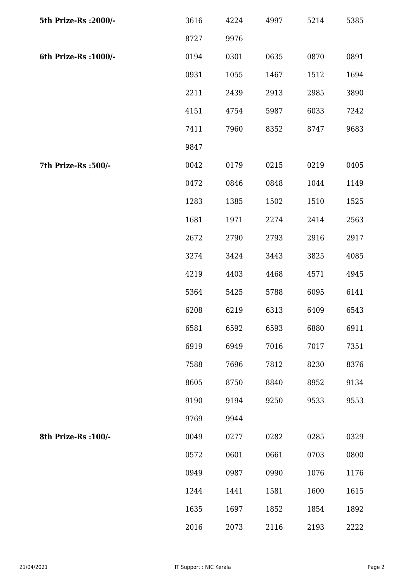| 5th Prize-Rs : 2000/- | 3616 | 4224 | 4997 | 5214 | 5385 |
|-----------------------|------|------|------|------|------|
|                       | 8727 | 9976 |      |      |      |
| 6th Prize-Rs : 1000/- | 0194 | 0301 | 0635 | 0870 | 0891 |
|                       | 0931 | 1055 | 1467 | 1512 | 1694 |
|                       | 2211 | 2439 | 2913 | 2985 | 3890 |
|                       | 4151 | 4754 | 5987 | 6033 | 7242 |
|                       | 7411 | 7960 | 8352 | 8747 | 9683 |
|                       | 9847 |      |      |      |      |
| 7th Prize-Rs : 500/-  | 0042 | 0179 | 0215 | 0219 | 0405 |
|                       | 0472 | 0846 | 0848 | 1044 | 1149 |
|                       | 1283 | 1385 | 1502 | 1510 | 1525 |
|                       | 1681 | 1971 | 2274 | 2414 | 2563 |
|                       | 2672 | 2790 | 2793 | 2916 | 2917 |
|                       | 3274 | 3424 | 3443 | 3825 | 4085 |
|                       | 4219 | 4403 | 4468 | 4571 | 4945 |
|                       | 5364 | 5425 | 5788 | 6095 | 6141 |
|                       | 6208 | 6219 | 6313 | 6409 | 6543 |
|                       | 6581 | 6592 | 6593 | 6880 | 6911 |
|                       | 6919 | 6949 | 7016 | 7017 | 7351 |
|                       | 7588 | 7696 | 7812 | 8230 | 8376 |
|                       | 8605 | 8750 | 8840 | 8952 | 9134 |
|                       | 9190 | 9194 | 9250 | 9533 | 9553 |
|                       | 9769 | 9944 |      |      |      |
| 8th Prize-Rs : 100/-  | 0049 | 0277 | 0282 | 0285 | 0329 |
|                       | 0572 | 0601 | 0661 | 0703 | 0800 |
|                       | 0949 | 0987 | 0990 | 1076 | 1176 |
|                       | 1244 | 1441 | 1581 | 1600 | 1615 |
|                       | 1635 | 1697 | 1852 | 1854 | 1892 |
|                       | 2016 | 2073 | 2116 | 2193 | 2222 |